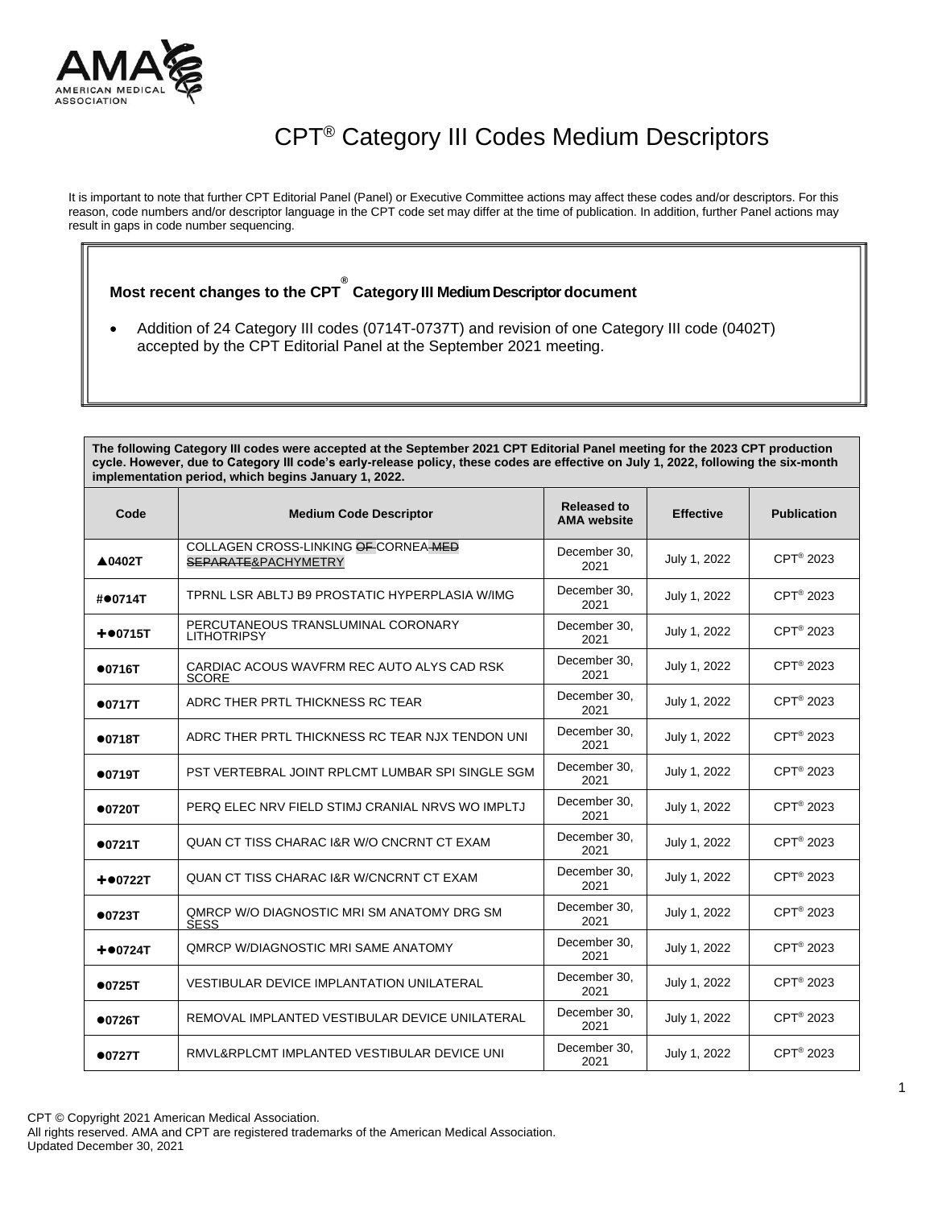

## CPT® Category III Codes Medium Descriptors

It is important to note that further CPT Editorial Panel (Panel) or Executive Committee actions may affect these codes and/or descriptors. For this reason, code numbers and/or descriptor language in the CPT code set may differ at the time of publication. In addition, further Panel actions may result in gaps in code number sequencing.

## **Most recent changes to the CPT ® Category III MediumDescriptor document**

• Addition of 24 Category III codes (0714T-0737T) and revision of one Category III code (0402T) accepted by the CPT Editorial Panel at the September 2021 meeting.

**The following Category III codes were accepted at the September 2021 CPT Editorial Panel meeting for the 2023 CPT production cycle. However, due to Category III code's early-release policy, these codes are effective on July 1, 2022, following the six-month implementation period, which begins January 1, 2022.**

| Code          | <b>Medium Code Descriptor</b>                               | <b>Released to</b><br><b>AMA</b> website | <b>Effective</b> | <b>Publication</b>    |
|---------------|-------------------------------------------------------------|------------------------------------------|------------------|-----------------------|
| ▲0402T        | COLLAGEN CROSS-LINKING OF CORNEA MED<br>SEPARATE&PACHYMETRY | December 30.<br>2021                     | July 1, 2022     | CPT <sup>®</sup> 2023 |
| #●0714T       | TPRNL LSR ABLTJ B9 PROSTATIC HYPERPLASIA W/IMG              | December 30.<br>2021                     | July 1, 2022     | CPT <sup>®</sup> 2023 |
| $+$ $•$ 0715T | PERCUTANEOUS TRANSLUMINAL CORONARY<br><b>LITHOTRIPSY</b>    | December 30.<br>2021                     | July 1, 2022     | CPT <sup>®</sup> 2023 |
| •0716T        | CARDIAC ACOUS WAVERM REC AUTO ALYS CAD RSK<br><b>SCORE</b>  | December 30.<br>2021                     | July 1, 2022     | CPT <sup>®</sup> 2023 |
| •0717T        | ADRC THER PRTL THICKNESS RC TEAR                            | December 30,<br>2021                     | July 1, 2022     | CPT <sup>®</sup> 2023 |
| •0718T        | ADRC THER PRTL THICKNESS RC TEAR NJX TENDON UNI             | December 30,<br>2021                     | July 1, 2022     | CPT <sup>®</sup> 2023 |
| •0719T        | PST VERTEBRAL JOINT RPLCMT LUMBAR SPI SINGLE SGM            | December 30,<br>2021                     | July 1, 2022     | CPT <sup>®</sup> 2023 |
| •0720T        | PERQ ELEC NRV FIELD STIMJ CRANIAL NRVS WO IMPLTJ            | December 30.<br>2021                     | July 1, 2022     | CPT <sup>®</sup> 2023 |
| •0721T        | QUAN CT TISS CHARAC I&R W/O CNCRNT CT EXAM                  | December 30.<br>2021                     | July 1, 2022     | CPT <sup>®</sup> 2023 |
| $+ 0722T$     | <b>QUAN CT TISS CHARAC I&amp;R W/CNCRNT CT EXAM</b>         | December 30.<br>2021                     | July 1, 2022     | CPT <sup>®</sup> 2023 |
| •0723T        | OMRCP W/O DIAGNOSTIC MRI SM ANATOMY DRG SM<br><b>SESS</b>   | December 30.<br>2021                     | July 1, 2022     | CPT <sup>®</sup> 2023 |
| $+ 00724T$    | OMRCP W/DIAGNOSTIC MRI SAME ANATOMY                         | December 30.<br>2021                     | July 1, 2022     | CPT <sup>®</sup> 2023 |
| •0725T        | <b>VESTIBULAR DEVICE IMPLANTATION UNILATERAL</b>            | December 30.<br>2021                     | July 1, 2022     | CPT <sup>®</sup> 2023 |
| •0726T        | REMOVAL IMPLANTED VESTIBULAR DEVICE UNILATERAL              | December 30.<br>2021                     | July 1, 2022     | CPT <sup>®</sup> 2023 |
| •0727T        | RMVL&RPLCMT IMPLANTED VESTIBULAR DEVICE UNI                 | December 30.<br>2021                     | July 1, 2022     | CPT <sup>®</sup> 2023 |

All rights reserved. AMA and CPT are registered trademarks of the American Medical Association. Updated December 30, 2021